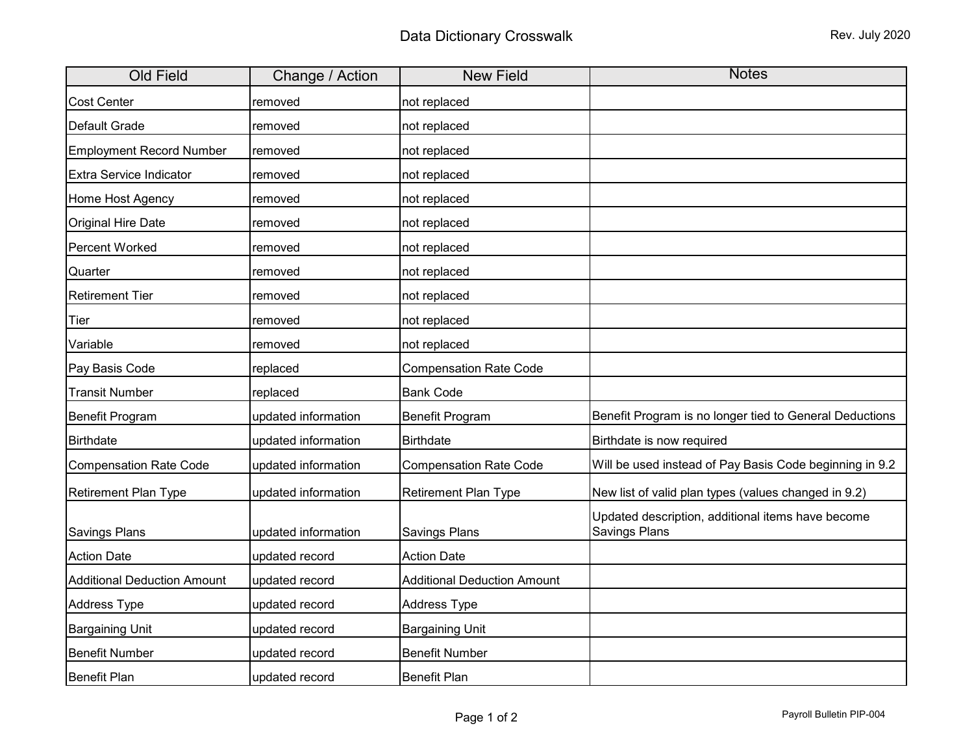| <b>Old Field</b>                   | Change / Action     | <b>New Field</b>                   | <b>Notes</b>                                                              |
|------------------------------------|---------------------|------------------------------------|---------------------------------------------------------------------------|
| <b>Cost Center</b>                 | removed             | not replaced                       |                                                                           |
| Default Grade                      | removed             | not replaced                       |                                                                           |
| <b>Employment Record Number</b>    | removed             | not replaced                       |                                                                           |
| <b>Extra Service Indicator</b>     | removed             | not replaced                       |                                                                           |
| Home Host Agency                   | removed             | not replaced                       |                                                                           |
| <b>Original Hire Date</b>          | removed             | not replaced                       |                                                                           |
| Percent Worked                     | removed             | not replaced                       |                                                                           |
| Quarter                            | removed             | not replaced                       |                                                                           |
| <b>Retirement Tier</b>             | removed             | not replaced                       |                                                                           |
| Tier                               | removed             | not replaced                       |                                                                           |
| Variable                           | removed             | not replaced                       |                                                                           |
| Pay Basis Code                     | replaced            | <b>Compensation Rate Code</b>      |                                                                           |
| <b>Transit Number</b>              | replaced            | <b>Bank Code</b>                   |                                                                           |
| <b>Benefit Program</b>             | updated information | Benefit Program                    | Benefit Program is no longer tied to General Deductions                   |
| <b>Birthdate</b>                   | updated information | <b>Birthdate</b>                   | Birthdate is now required                                                 |
| <b>Compensation Rate Code</b>      | updated information | <b>Compensation Rate Code</b>      | Will be used instead of Pay Basis Code beginning in 9.2                   |
| <b>Retirement Plan Type</b>        | updated information | <b>Retirement Plan Type</b>        | New list of valid plan types (values changed in 9.2)                      |
| <b>Savings Plans</b>               | updated information | Savings Plans                      | Updated description, additional items have become<br><b>Savings Plans</b> |
| <b>Action Date</b>                 | updated record      | <b>Action Date</b>                 |                                                                           |
| <b>Additional Deduction Amount</b> | updated record      | <b>Additional Deduction Amount</b> |                                                                           |
| <b>Address Type</b>                | updated record      | <b>Address Type</b>                |                                                                           |
| <b>Bargaining Unit</b>             | updated record      | <b>Bargaining Unit</b>             |                                                                           |
| <b>Benefit Number</b>              | updated record      | <b>Benefit Number</b>              |                                                                           |
| <b>Benefit Plan</b>                | updated record      | <b>Benefit Plan</b>                |                                                                           |